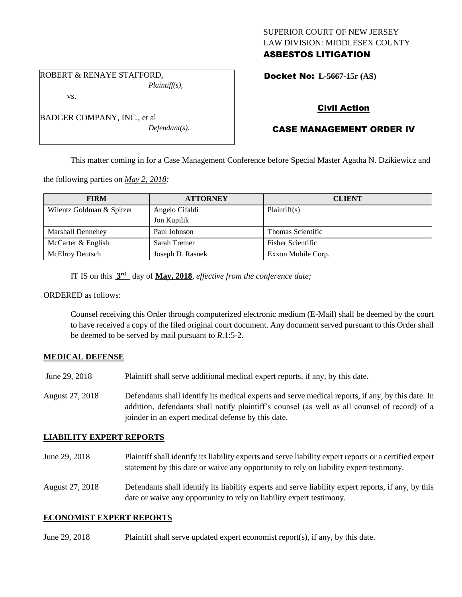### SUPERIOR COURT OF NEW JERSEY LAW DIVISION: MIDDLESEX COUNTY ASBESTOS LITIGATION

ROBERT & RENAYE STAFFORD, *Plaintiff(s),*

vs.

| BADGER COMPANY, INC., et al |
|-----------------------------|
| $Defendant(s)$ .            |

Docket No: **L-5667-15r (AS)** 

# Civil Action

# CASE MANAGEMENT ORDER IV

This matter coming in for a Case Management Conference before Special Master Agatha N. Dzikiewicz and

the following parties on *May 2, 2018:*

| <b>FIRM</b>               | <b>ATTORNEY</b>  | <b>CLIENT</b>            |
|---------------------------|------------------|--------------------------|
| Wilentz Goldman & Spitzer | Angelo Cifaldi   | Plaintiff(s)             |
|                           | Jon Kupilik      |                          |
| Marshall Dennehey         | Paul Johnson     | Thomas Scientific        |
| McCarter & English        | Sarah Tremer     | <b>Fisher Scientific</b> |
| <b>McElroy Deutsch</b>    | Joseph D. Rasnek | Exxon Mobile Corp.       |

IT IS on this **3 rd** day of **May, 2018**, *effective from the conference date;*

ORDERED as follows:

Counsel receiving this Order through computerized electronic medium (E-Mail) shall be deemed by the court to have received a copy of the filed original court document. Any document served pursuant to this Order shall be deemed to be served by mail pursuant to *R*.1:5-2.

### **MEDICAL DEFENSE**

- June 29, 2018 Plaintiff shall serve additional medical expert reports, if any, by this date.
- August 27, 2018 Defendants shall identify its medical experts and serve medical reports, if any, by this date. In addition, defendants shall notify plaintiff's counsel (as well as all counsel of record) of a joinder in an expert medical defense by this date.

#### **LIABILITY EXPERT REPORTS**

- June 29, 2018 Plaintiff shall identify its liability experts and serve liability expert reports or a certified expert statement by this date or waive any opportunity to rely on liability expert testimony.
- August 27, 2018 Defendants shall identify its liability experts and serve liability expert reports, if any, by this date or waive any opportunity to rely on liability expert testimony.

#### **ECONOMIST EXPERT REPORTS**

June 29, 2018 Plaintiff shall serve updated expert economist report(s), if any, by this date.